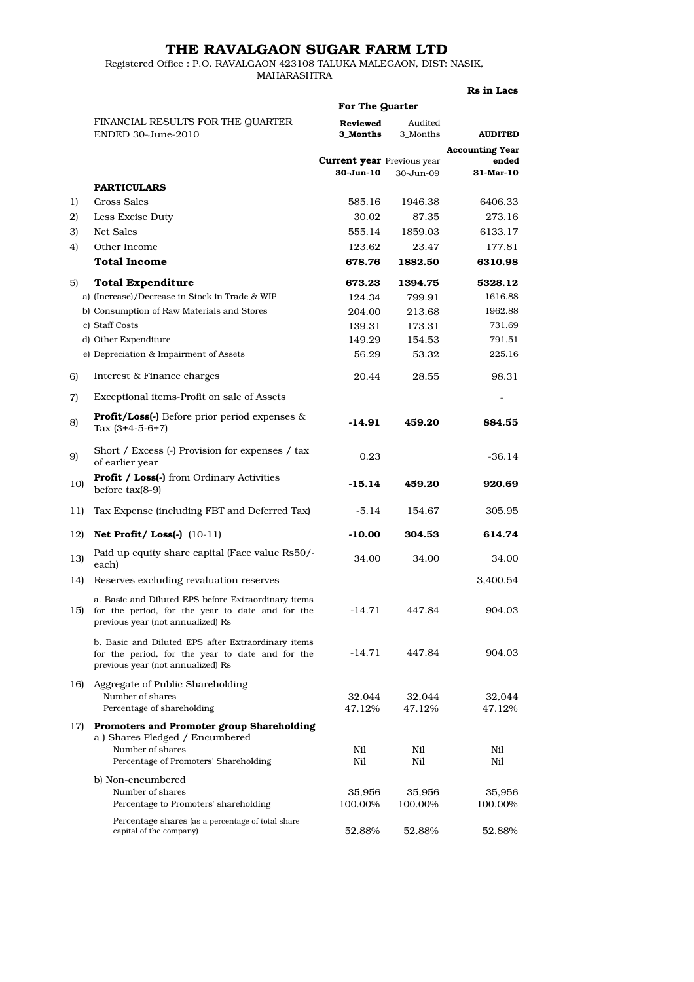## THE RAVALGAON SUGAR FARM LTD

Registered Office : P.O. RAVALGAON 423108 TALUKA MALEGAON, DIST: NASIK, MAHARASHTRA

## Rs in Lacs

|     | For The Quarter                                                                                                                              |                                                    |                     |                                 |
|-----|----------------------------------------------------------------------------------------------------------------------------------------------|----------------------------------------------------|---------------------|---------------------------------|
|     | FINANCIAL RESULTS FOR THE QUARTER<br>ENDED 30-June-2010                                                                                      | Reviewed<br>3 Months                               | Audited<br>3 Months | <b>AUDITED</b>                  |
|     |                                                                                                                                              | <b>Current year</b> Previous year<br>$30 - Jun-10$ | 30-Jun-09           | <b>Accounting Year</b><br>ended |
|     | <b>PARTICULARS</b>                                                                                                                           |                                                    |                     | 31-Mar-10                       |
| 1)  | Gross Sales                                                                                                                                  | 585.16                                             | 1946.38             | 6406.33                         |
| 2)  | Less Excise Duty                                                                                                                             | 30.02                                              | 87.35               | 273.16                          |
| 3)  | Net Sales                                                                                                                                    | 555.14                                             | 1859.03             | 6133.17                         |
| 4)  | Other Income                                                                                                                                 | 123.62                                             | 23.47               | 177.81                          |
|     | <b>Total Income</b>                                                                                                                          | 678.76                                             | 1882.50             | 6310.98                         |
|     |                                                                                                                                              |                                                    |                     |                                 |
| 5)  | <b>Total Expenditure</b>                                                                                                                     | 673.23                                             | 1394.75             | 5328.12                         |
|     | a) (Increase)/Decrease in Stock in Trade & WIP                                                                                               | 124.34                                             | 799.91              | 1616.88                         |
|     | b) Consumption of Raw Materials and Stores                                                                                                   | 204.00                                             | 213.68              | 1962.88                         |
|     | c) Staff Costs                                                                                                                               | 139.31                                             | 173.31              | 731.69                          |
|     | d) Other Expenditure                                                                                                                         | 149.29                                             | 154.53              | 791.51                          |
|     | e) Depreciation & Impairment of Assets                                                                                                       | 56.29                                              | 53.32               | 225.16                          |
| 6)  | Interest & Finance charges                                                                                                                   | 20.44                                              | 28.55               | 98.31                           |
| 7)  | Exceptional items-Profit on sale of Assets                                                                                                   |                                                    |                     |                                 |
| 8)  | <b>Profit/Loss(-)</b> Before prior period expenses $\&$<br>Tax $(3+4-5-6+7)$                                                                 | -14.91                                             | 459.20              | 884.55                          |
| 9)  | Short / Excess (-) Provision for expenses / tax<br>of earlier year                                                                           | 0.23                                               |                     | $-36.14$                        |
| 10) | <b>Profit / Loss(-)</b> from Ordinary Activities<br>before $tax(8-9)$                                                                        | $-15.14$                                           | 459.20              | 920.69                          |
| 11) | Tax Expense (including FBT and Deferred Tax)                                                                                                 | $-5.14$                                            | 154.67              | 305.95                          |
| 12) | Net Profit/Loss $(-)$ $(10-11)$                                                                                                              | -10.00                                             | 304.53              | 614.74                          |
| 13) | Paid up equity share capital (Face value Rs50/-<br>each)                                                                                     | 34.00                                              | 34.00               | 34.00                           |
| 14) | Reserves excluding revaluation reserves                                                                                                      |                                                    |                     | 3,400.54                        |
| 15) | a. Basic and Diluted EPS before Extraordinary items<br>for the period, for the year to date and for the<br>previous year (not annualized) Rs | $-14.71$                                           | 447.84              | 904.03                          |
|     | b. Basic and Diluted EPS after Extraordinary items<br>for the period, for the year to date and for the<br>previous year (not annualized) Rs  | -14.71                                             | 447.84              | 904.03                          |
| 16) | Aggregate of Public Shareholding<br>Number of shares<br>Percentage of shareholding                                                           | 32,044<br>47.12%                                   | 32,044<br>47.12%    | 32,044<br>47.12%                |
| 17) | Promoters and Promoter group Shareholding<br>a) Shares Pledged / Encumbered<br>Number of shares<br>Percentage of Promoters' Shareholding     | Nil<br>Nil                                         | Nil<br>Nil          | Nil<br>Nil                      |
|     | b) Non-encumbered                                                                                                                            |                                                    |                     |                                 |
|     | Number of shares<br>Percentage to Promoters' shareholding                                                                                    | 35,956<br>100.00%                                  | 35,956<br>100.00%   | 35,956<br>100.00%               |
|     | Percentage shares (as a percentage of total share<br>capital of the company)                                                                 | 52.88%                                             | 52.88%              | 52.88%                          |